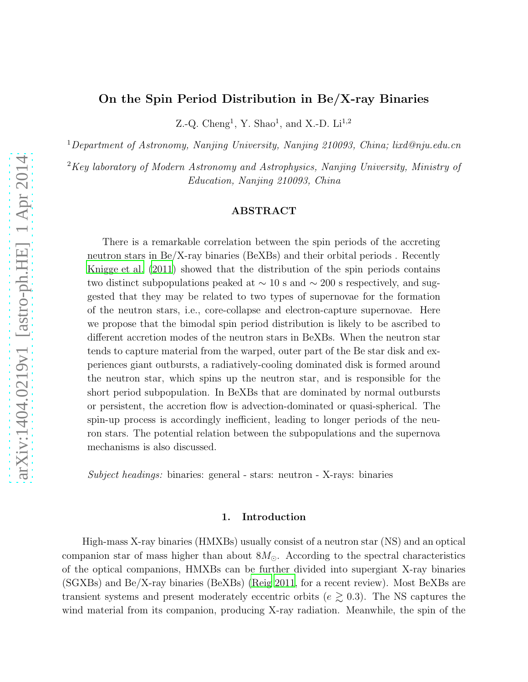# On the Spin Period Distribution in Be/X-ray Binaries

Z.-Q. Cheng<sup>1</sup>, Y. Shao<sup>1</sup>, and X.-D. Li<sup>1,2</sup>

<sup>1</sup>*Department of Astronomy, Nanjing University, Nanjing 210093, China; lixd@nju.edu.cn*

<sup>2</sup>*Key laboratory of Modern Astronomy and Astrophysics, Nanjing University, Ministry of Education, Nanjing 210093, China*

## ABSTRACT

There is a remarkable correlation between the spin periods of the accreting neutron stars in Be/X-ray binaries (BeXBs) and their orbital periods . Recently [Knigge et al. \(2011](#page-10-0)) showed that the distribution of the spin periods contains two distinct subpopulations peaked at  $\sim$  10 s and  $\sim$  200 s respectively, and suggested that they may be related to two types of supernovae for the formation of the neutron stars, i.e., core-collapse and electron-capture supernovae. Here we propose that the bimodal spin period distribution is likely to be ascribed to different accretion modes of the neutron stars in BeXBs. When the neutron star tends to capture material from the warped, outer part of the Be star disk and experiences giant outbursts, a radiatively-cooling dominated disk is formed around the neutron star, which spins up the neutron star, and is responsible for the short period subpopulation. In BeXBs that are dominated by normal outbursts or persistent, the accretion flow is advection-dominated or quasi-spherical. The spin-up process is accordingly inefficient, leading to longer periods of the neuron stars. The potential relation between the subpopulations and the supernova mechanisms is also discussed.

*Subject headings:* binaries: general - stars: neutron - X-rays: binaries

#### 1. Introduction

High-mass X-ray binaries (HMXBs) usually consist of a neutron star (NS) and an optical companion star of mass higher than about  $8M_{\odot}$ . According to the spectral characteristics of the optical companions, HMXBs can be further divided into supergiant X-ray binaries (SGXBs) and Be/X-ray binaries (BeXBs) [\(Reig 2011](#page-11-0), for a recent review). Most BeXBs are transient systems and present moderately eccentric orbits ( $e \gtrsim 0.3$ ). The NS captures the wind material from its companion, producing X-ray radiation. Meanwhile, the spin of the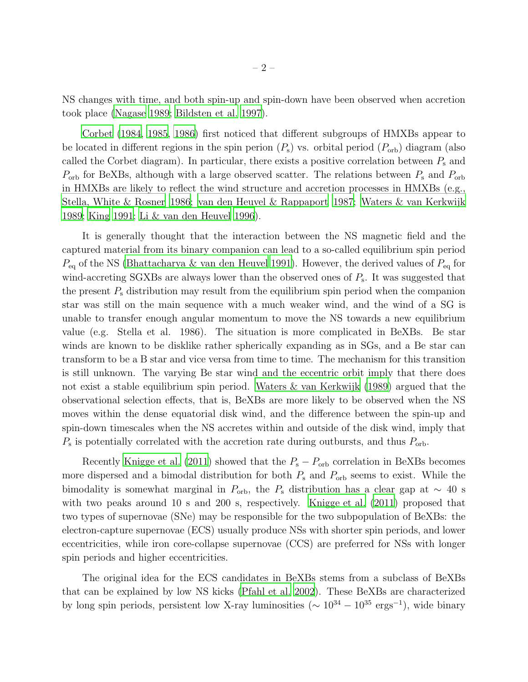NS changes with time, and both spin-up and spin-down have been observed when accretion took place [\(Nagase 1989;](#page-10-1) [Bildsten et al. 1997](#page-9-0)).

[Corbet \(1984,](#page-9-1) [1985,](#page-9-2) [1986\)](#page-9-3) first noticed that different subgroups of HMXBs appear to be located in different regions in the spin perion  $(P_s)$  vs. orbital period  $(P_{orb})$  diagram (also called the Corbet diagram). In particular, there exists a positive correlation between  $P_s$  and  $P_{\text{orb}}$  for BeXBs, although with a large observed scatter. The relations between  $P_{\text{s}}$  and  $P_{\text{orb}}$ in HMXBs are likely to reflect the wind structure and accretion processes in HMXBs (e.g., [Stella, White & Rosner 1986;](#page-12-0) [van den Heuvel & Rappaport 1987;](#page-12-1) [Waters & van Kerkwijk](#page-12-2) [1989;](#page-12-2) [King 1991;](#page-10-2) [Li & van den Heuvel 1996](#page-10-3)).

It is generally thought that the interaction between the NS magnetic field and the captured material from its binary companion can lead to a so-called equilibrium spin period  $P_{\text{eq}}$  of the NS [\(Bhattacharya & van den Heuvel 1991\)](#page-9-4). However, the derived values of  $P_{\text{eq}}$  for wind-accreting SGXBs are always lower than the observed ones of  $P_{s}$ . It was suggested that the present  $P_s$  distribution may result from the equilibrium spin period when the companion star was still on the main sequence with a much weaker wind, and the wind of a SG is unable to transfer enough angular momentum to move the NS towards a new equilibrium value (e.g. Stella et al. 1986). The situation is more complicated in BeXBs. Be star winds are known to be disklike rather spherically expanding as in SGs, and a Be star can transform to be a B star and vice versa from time to time. The mechanism for this transition is still unknown. The varying Be star wind and the eccentric orbit imply that there does not exist a stable equilibrium spin period. [Waters & van Kerkwijk \(1989](#page-12-2)) argued that the observational selection effects, that is, BeXBs are more likely to be observed when the NS moves within the dense equatorial disk wind, and the difference between the spin-up and spin-down timescales when the NS accretes within and outside of the disk wind, imply that  $P_{\rm s}$  is potentially correlated with the accretion rate during outbursts, and thus  $P_{\rm orb}$ .

Recently [Knigge et al. \(2011](#page-10-0)) showed that the  $P_s - P_{\text{orb}}$  correlation in BeXBs becomes more dispersed and a bimodal distribution for both  $P_s$  and  $P_{\text{orb}}$  seems to exist. While the bimodality is somewhat marginal in  $P_{\text{orb}}$ , the  $P_{\text{s}}$  distribution has a clear gap at  $\sim 40$  s with two peaks around 10 s and 200 s, respectively. [Knigge et al. \(2011](#page-10-0)) proposed that two types of supernovae (SNe) may be responsible for the two subpopulation of BeXBs: the electron-capture supernovae (ECS) usually produce NSs with shorter spin periods, and lower eccentricities, while iron core-collapse supernovae (CCS) are preferred for NSs with longer spin periods and higher eccentricities.

The original idea for the ECS candidates in BeXBs stems from a subclass of BeXBs that can be explained by low NS kicks [\(Pfahl et al. 2002\)](#page-11-1). These BeXBs are characterized by long spin periods, persistent low X-ray luminosities ( $\sim 10^{34} - 10^{35}$  ergs<sup>-1</sup>), wide binary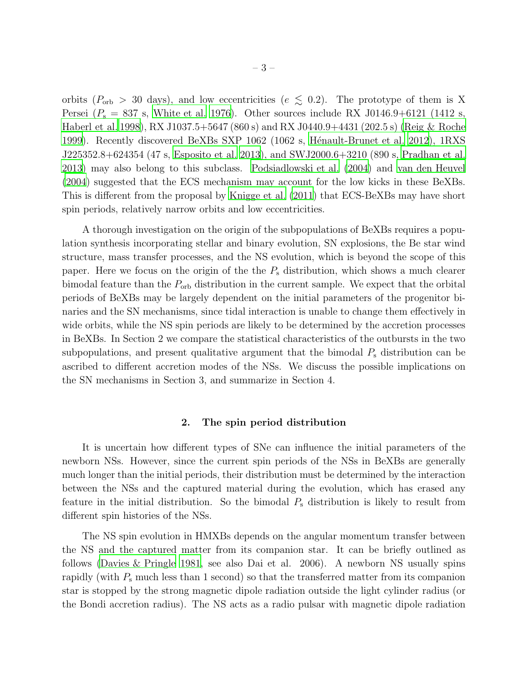orbits ( $P_{\rm orb} > 30$  days), and low eccentricities ( $e \lesssim 0.2$ ). The prototype of them is X Persei  $(P_s = 837 \text{ s}$ , [White et al. 1976\)](#page-12-3). Other sources include RX J0146.9+6121 (1412 s, [Haberl et al. 1998](#page-10-4)), RX J1037.5+5647 (860 s) and RX J0440.9+4431 (202.5 s) [\(Reig & Roche](#page-11-2) [1999\)](#page-11-2). Recently discovered BeXBs SXP 1062 (1062 s, Hénault-Brunet et al. 2012), 1RXS J225352.8+624354 (47 s, [Esposito et al. 2013\)](#page-9-5), and SWJ2000.6+3210 (890 s, [Pradhan et al.](#page-11-3) [2013\)](#page-11-3) may also belong to this subclass. [Podsiadlowski et al. \(2004\)](#page-11-4) and [van den Heuvel](#page-12-4) [\(2004\)](#page-12-4) suggested that the ECS mechanism may account for the low kicks in these BeXBs. This is different from the proposal by [Knigge et al. \(2011](#page-10-0)) that ECS-BeXBs may have short spin periods, relatively narrow orbits and low eccentricities.

A thorough investigation on the origin of the subpopulations of BeXBs requires a population synthesis incorporating stellar and binary evolution, SN explosions, the Be star wind structure, mass transfer processes, and the NS evolution, which is beyond the scope of this paper. Here we focus on the origin of the the  $P<sub>s</sub>$  distribution, which shows a much clearer bimodal feature than the  $P_{\rm orb}$  distribution in the current sample. We expect that the orbital periods of BeXBs may be largely dependent on the initial parameters of the progenitor binaries and the SN mechanisms, since tidal interaction is unable to change them effectively in wide orbits, while the NS spin periods are likely to be determined by the accretion processes in BeXBs. In Section 2 we compare the statistical characteristics of the outbursts in the two subpopulations, and present qualitative argument that the bimodal  $P_s$  distribution can be ascribed to different accretion modes of the NSs. We discuss the possible implications on the SN mechanisms in Section 3, and summarize in Section 4.

## 2. The spin period distribution

It is uncertain how different types of SNe can influence the initial parameters of the newborn NSs. However, since the current spin periods of the NSs in BeXBs are generally much longer than the initial periods, their distribution must be determined by the interaction between the NSs and the captured material during the evolution, which has erased any feature in the initial distribution. So the bimodal  $P_s$  distribution is likely to result from different spin histories of the NSs.

The NS spin evolution in HMXBs depends on the angular momentum transfer between the NS and the captured matter from its companion star. It can be briefly outlined as follows [\(Davies & Pringle 1981,](#page-9-6) see also Dai et al. 2006). A newborn NS usually spins rapidly (with  $P_s$  much less than 1 second) so that the transferred matter from its companion star is stopped by the strong magnetic dipole radiation outside the light cylinder radius (or the Bondi accretion radius). The NS acts as a radio pulsar with magnetic dipole radiation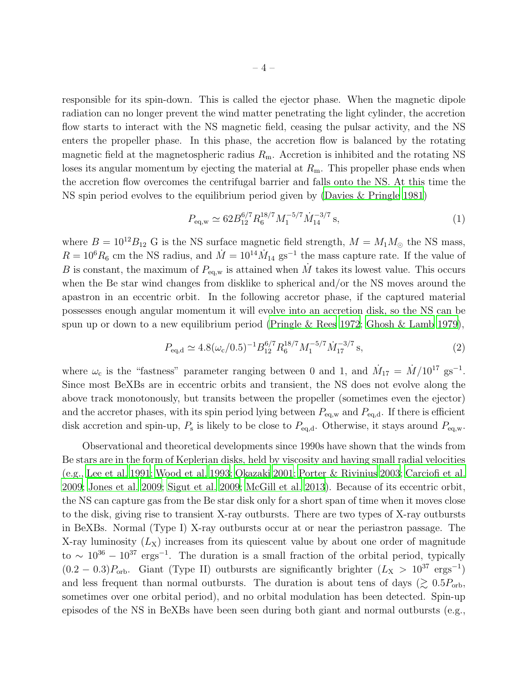responsible for its spin-down. This is called the ejector phase. When the magnetic dipole radiation can no longer prevent the wind matter penetrating the light cylinder, the accretion flow starts to interact with the NS magnetic field, ceasing the pulsar activity, and the NS enters the propeller phase. In this phase, the accretion flow is balanced by the rotating magnetic field at the magnetospheric radius  $R<sub>m</sub>$ . Accretion is inhibited and the rotating NS loses its angular momentum by ejecting the material at  $R<sub>m</sub>$ . This propeller phase ends when the accretion flow overcomes the centrifugal barrier and falls onto the NS. At this time the NS spin period evolves to the equilibrium period given by [\(Davies & Pringle](#page-9-6) [1981](#page-9-6))

$$
P_{\text{eq,w}} \simeq 62 B_{12}^{6/7} R_6^{18/7} M_1^{-5/7} \dot{M}_{14}^{-3/7} \text{ s},\tag{1}
$$

where  $B = 10^{12}B_{12}$  G is the NS surface magnetic field strength,  $M = M_1M_{\odot}$  the NS mass,  $R = 10<sup>6</sup>R<sub>6</sub>$  cm the NS radius, and  $\dot{M} = 10<sup>14</sup>M<sub>14</sub>$  gs<sup>-1</sup> the mass capture rate. If the value of B is constant, the maximum of  $P_{\text{eq,w}}$  is attained when  $\dot{M}$  takes its lowest value. This occurs when the Be star wind changes from disklike to spherical and/or the NS moves around the apastron in an eccentric orbit. In the following accretor phase, if the captured material possesses enough angular momentum it will evolve into an accretion disk, so the NS can be spun up or down to a new equilibrium period [\(Pringle & Rees 1972;](#page-11-5) Ghosh [& Lamb 1979\)](#page-10-6),

$$
P_{\text{eq,d}} \simeq 4.8(\omega_{\text{c}}/0.5)^{-1} B_{12}^{6/7} R_6^{18/7} M_1^{-5/7} \dot{M}_{17}^{-3/7} \text{ s},\tag{2}
$$

where  $\omega_c$  is the "fastness" parameter ranging between 0 and 1, and  $\dot{M}_{17} = \dot{M}/10^{17}$  gs<sup>-1</sup>. Since most BeXBs are in eccentric orbits and transient, the NS does not evolve along the above track monotonously, but transits between the propeller (sometimes even the ejector) and the accretor phases, with its spin period lying between  $P_{eq,w}$  and  $P_{eq,d}$ . If there is efficient disk accretion and spin-up,  $P_s$  is likely to be close to  $P_{eq,d}$ . Otherwise, it stays around  $P_{eq,w}$ .

Observational and theoretical developments since 1990s have shown that the winds from Be stars are in the form of Keplerian disks, held by viscosity and having small radial velocities (e.g., [Lee et al. 1991](#page-10-7); [Wood et al. 1993;](#page-12-5) [Okazaki 2001](#page-11-6); [Porter & Rivinius 2003](#page-11-7); [Carciofi et al.](#page-9-7) [2009;](#page-9-7) [Jones et al. 2009;](#page-10-8) [Sigut et al. 2009](#page-12-6); [McGill et al. 2013](#page-10-9)). Because of its eccentric orbit, the NS can capture gas from the Be star disk only for a short span of time when it moves close to the disk, giving rise to transient X-ray outbursts. There are two types of X-ray outbursts in BeXBs. Normal (Type I) X-ray outbursts occur at or near the periastron passage. The X-ray luminosity  $(L_X)$  increases from its quiescent value by about one order of magnitude to  $\sim 10^{36} - 10^{37}$  ergs<sup>-1</sup>. The duration is a small fraction of the orbital period, typically  $(0.2 - 0.3)P<sub>orb</sub>$ . Giant (Type II) outbursts are significantly brighter  $(L_X > 10^{37} \text{ ergs}^{-1})$ and less frequent than normal outbursts. The duration is about tens of days ( $\gtrsim 0.5P_{\rm orb}$ , sometimes over one orbital period), and no orbital modulation has been detected. Spin-up episodes of the NS in BeXBs have been seen during both giant and normal outbursts (e.g.,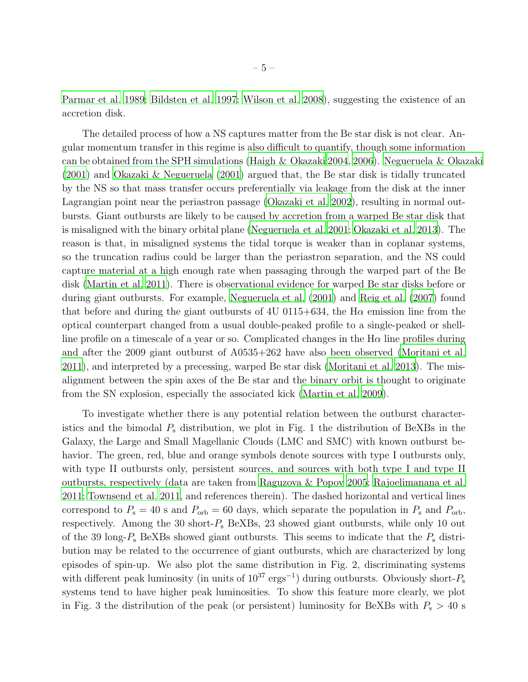[Parmar et al. 1989;](#page-11-8) [Bildsten et al. 1997;](#page-9-0) [Wilson et al. 2008\)](#page-12-7), suggesting the existence of an accretion disk.

The detailed process of how a NS captures matter from the Be star disk is not clear. Angular momentum transfer in this regime is also difficult to quantify, though some information can be obtained from the SPH simulations [\(Haigh & Okazaki 2004,](#page-10-10) [2006\)](#page-10-11). [Negueruela & Okazaki](#page-11-9) [\(2001\)](#page-11-9) and [Okazaki & Negueruela \(2001\)](#page-11-10) argued that, the Be star disk is tidally truncated by the NS so that mass transfer occurs preferentially via leakage from the disk at the inner Lagrangian point near the periastron passage [\(Okazaki et al. 2002\)](#page-11-11), resulting in normal outbursts. Giant outbursts are likely to be caused by accretion from a warped Be star disk that is misaligned with the binary orbital plane [\(Negueruela et al. 2001](#page-11-12); [Okazaki et al. 2013](#page-11-13)). The reason is that, in misaligned systems the tidal torque is weaker than in coplanar systems, so the truncation radius could be larger than the periastron separation, and the NS could capture material at a high enough rate when passaging through the warped part of the Be disk [\(Martin et al. 2011\)](#page-10-12). There is observational evidence for warped Be star disks before or during giant outbursts. For example, [Negueruela et al. \(2001\)](#page-11-12) and [Reig et al. \(2007\)](#page-11-14) found that before and during the giant outbursts of 4U 0115+634, the  $H\alpha$  emission line from the optical counterpart changed from a usual double-peaked profile to a single-peaked or shellline profile on a timescale of a year or so. Complicated changes in the  $H\alpha$  line profiles during and after the 2009 giant outburst of A0535+262 have also been observed [\(Moritani et al.](#page-10-13) [2011\)](#page-10-13), and interpreted by a precessing, warped Be star disk [\(Moritani et al. 2013](#page-10-14)). The misalignment between the spin axes of the Be star and the binary orbit is thought to originate from the SN explosion, especially the associated kick [\(Martin et al. 2009\)](#page-10-15).

To investigate whether there is any potential relation between the outburst characteristics and the bimodal  $P_s$  distribution, we plot in Fig. 1 the distribution of BeXBs in the Galaxy, the Large and Small Magellanic Clouds (LMC and SMC) with known outburst behavior. The green, red, blue and orange symbols denote sources with type I outbursts only, with type II outbursts only, persistent sources, and sources with both type I and type II outbursts, respectively (data are taken from [Raguzova & Popov](#page-11-15) [2005](#page-11-15); [Rajoelimanana et al.](#page-11-16) [2011;](#page-11-16) [Townsend et al. 2011,](#page-12-8) and references therein). The dashed horizontal and vertical lines correspond to  $P_s = 40$  s and  $P_{orb} = 60$  days, which separate the population in  $P_s$  and  $P_{orb}$ , respectively. Among the 30 short- $P_s$  BeXBs, 23 showed giant outbursts, while only 10 out of the 39 long- $P_s$  BeXBs showed giant outbursts. This seems to indicate that the  $P_s$  distribution may be related to the occurrence of giant outbursts, which are characterized by long episodes of spin-up. We also plot the same distribution in Fig. 2, discriminating systems with different peak luminosity (in units of  $10^{37}$  ergs<sup>-1</sup>) during outbursts. Obviously short- $P_{\rm s}$ systems tend to have higher peak luminosities. To show this feature more clearly, we plot in Fig. 3 the distribution of the peak (or persistent) luminosity for BeXBs with  $P_s > 40$  s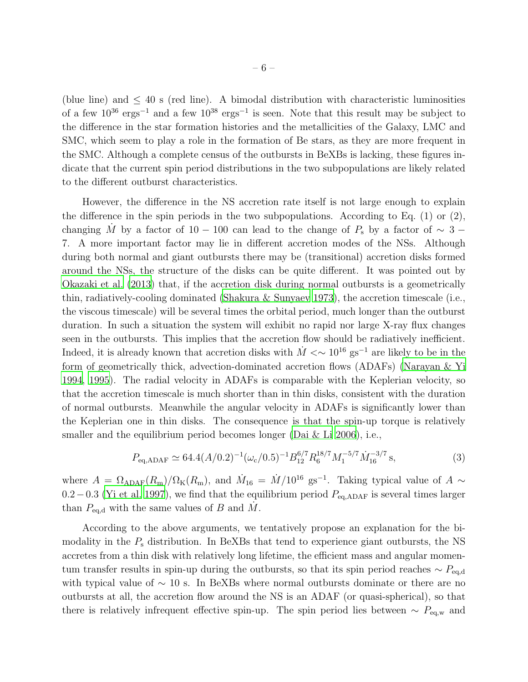(blue line) and  $\leq 40$  s (red line). A bimodal distribution with characteristic luminosities of a few  $10^{36}$  ergs<sup>-1</sup> and a few  $10^{38}$  ergs<sup>-1</sup> is seen. Note that this result may be subject to the difference in the star formation histories and the metallicities of the Galaxy, LMC and SMC, which seem to play a role in the formation of Be stars, as they are more frequent in the SMC. Although a complete census of the outbursts in BeXBs is lacking, these figures indicate that the current spin period distributions in the two subpopulations are likely related to the different outburst characteristics.

However, the difference in the NS accretion rate itself is not large enough to explain the difference in the spin periods in the two subpopulations. According to Eq. (1) or (2), changing M<sup>i</sup> by a factor of 10 − 100 can lead to the change of  $P_s$  by a factor of  $\sim$  3 − 7. A more important factor may lie in different accretion modes of the NSs. Although during both normal and giant outbursts there may be (transitional) accretion disks formed around the NSs, the structure of the disks can be quite different. It was pointed out by [Okazaki et al. \(2013](#page-11-13)) that, if the accretion disk during normal outbursts is a geometrically thin, radiatively-cooling dominated [\(Shakura & Sunyaev 1973\)](#page-12-9), the accretion timescale (i.e., the viscous timescale) will be several times the orbital period, much longer than the outburst duration. In such a situation the system will exhibit no rapid nor large X-ray flux changes seen in the outbursts. This implies that the accretion flow should be radiatively inefficient. Indeed, it is already known that accretion disks with  $\dot{M} \ll 10^{16}$  gs<sup>-1</sup> are likely to be in the form of geometrically thick, advection-dominated accretion flows (ADAFs) [\(Narayan & Yi](#page-10-16) [1994,](#page-10-16) [1995\)](#page-10-17). The radial velocity in ADAFs is comparable with the Keplerian velocity, so that the accretion timescale is much shorter than in thin disks, consistent with the duration of normal outbursts. Meanwhile the angular velocity in ADAFs is significantly lower than the Keplerian one in thin disks. The consequence is that the spin-up torque is relatively smaller and the equilibrium period becomes longer (Dai  $&$  Li 2006), i.e.,

$$
P_{\text{eq,ADAF}} \simeq 64.4(A/0.2)^{-1} (\omega_{\text{c}}/0.5)^{-1} B_{12}^{6/7} R_6^{18/7} M_1^{-5/7} M_{16}^{-3/7} \text{ s},\tag{3}
$$

where  $A = \Omega_{ADAF}(R_m)/\Omega_K(R_m)$ , and  $\dot{M}_{16} = \dot{M}/10^{16}$  gs<sup>-1</sup>. Taking typical value of  $A \sim$  $0.2-0.3$  [\(Yi et al. 1997](#page-12-10)), we find that the equilibrium period  $P_{\text{eq,ADAF}}$  is several times larger than  $P_{\text{eq,d}}$  with the same values of B and  $\dot{M}$ .

According to the above arguments, we tentatively propose an explanation for the bimodality in the  $P<sub>s</sub>$  distribution. In BeXBs that tend to experience giant outbursts, the NS accretes from a thin disk with relatively long lifetime, the efficient mass and angular momentum transfer results in spin-up during the outbursts, so that its spin period reaches  $\sim P_{\text{eq,d}}$ with typical value of  $\sim$  10 s. In BeXBs where normal outbursts dominate or there are no outbursts at all, the accretion flow around the NS is an ADAF (or quasi-spherical), so that there is relatively infrequent effective spin-up. The spin period lies between  $\sim P_{eq,w}$  and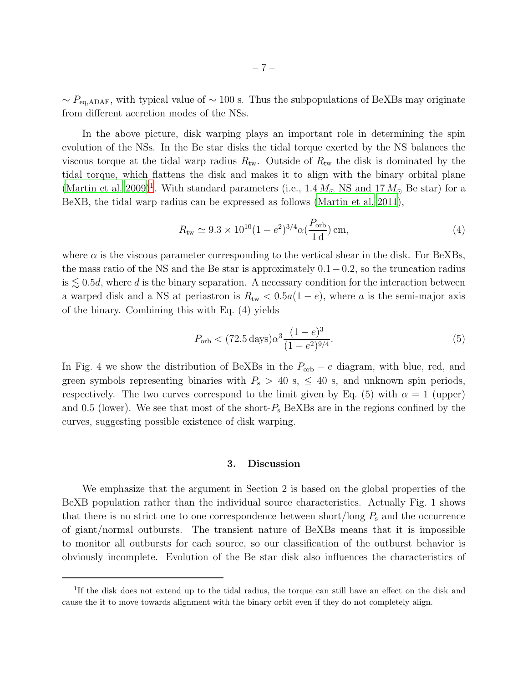$\sim P_{\text{eq,ADAF}}$ , with typical value of  $\sim 100$  s. Thus the subpopulations of BeXBs may originate from different accretion modes of the NSs.

In the above picture, disk warping plays an important role in determining the spin evolution of the NSs. In the Be star disks the tidal torque exerted by the NS balances the viscous torque at the tidal warp radius  $R_{\text{tw}}$ . Outside of  $R_{\text{tw}}$  the disk is dominated by the tidal torque, which flattens the disk and makes it to align with the binary orbital plane [\(Martin et al. 2009](#page-10-15))<sup>[1](#page-12-11)</sup>. With standard parameters (i.e.,  $1.4 M_{\odot}$  NS and  $17 M_{\odot}$  Be star) for a BeXB, the tidal warp radius can be expressed as follows [\(Martin et al. 2011](#page-10-12)),

$$
R_{\rm tw} \simeq 9.3 \times 10^{10} (1 - e^2)^{3/4} \alpha \left(\frac{P_{\rm orb}}{1 \rm d}\right) \text{cm},\tag{4}
$$

where  $\alpha$  is the viscous parameter corresponding to the vertical shear in the disk. For BeXBs, the mass ratio of the NS and the Be star is approximately  $0.1-0.2$ , so the truncation radius is  $\leq 0.5d$ , where d is the binary separation. A necessary condition for the interaction between a warped disk and a NS at periastron is  $R_{tw} < 0.5a(1-e)$ , where a is the semi-major axis of the binary. Combining this with Eq. (4) yields

$$
P_{\rm orb} < (72.5 \,\text{days}) \alpha^3 \frac{(1-e)^3}{(1-e^2)^{9/4}}.\tag{5}
$$

In Fig. 4 we show the distribution of BeXBs in the  $P_{\text{orb}} - e$  diagram, with blue, red, and green symbols representing binaries with  $P_s > 40$  s,  $\leq 40$  s, and unknown spin periods, respectively. The two curves correspond to the limit given by Eq. (5) with  $\alpha = 1$  (upper) and 0.5 (lower). We see that most of the short- $P_s$  BeXBs are in the regions confined by the curves, suggesting possible existence of disk warping.

## 3. Discussion

We emphasize that the argument in Section 2 is based on the global properties of the BeXB population rather than the individual source characteristics. Actually Fig. 1 shows that there is no strict one to one correspondence between short/long  $P_s$  and the occurrence of giant/normal outbursts. The transient nature of BeXBs means that it is impossible to monitor all outbursts for each source, so our classification of the outburst behavior is obviously incomplete. Evolution of the Be star disk also influences the characteristics of

<sup>&</sup>lt;sup>1</sup>If the disk does not extend up to the tidal radius, the torque can still have an effect on the disk and cause the it to move towards alignment with the binary orbit even if they do not completely align.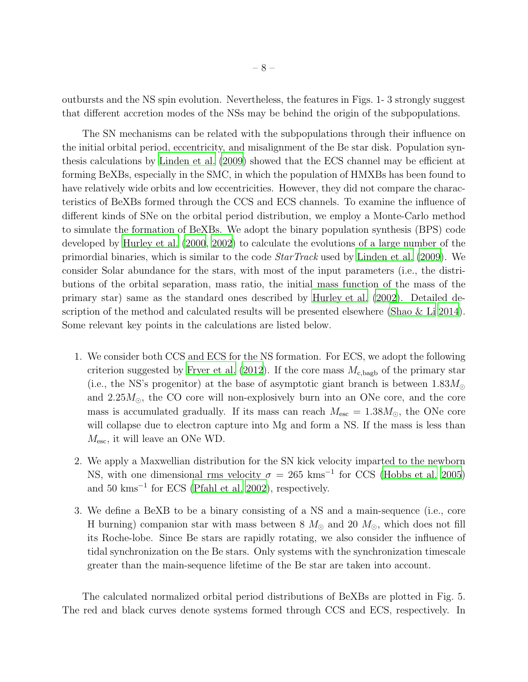outbursts and the NS spin evolution. Nevertheless, the features in Figs. 1- 3 strongly suggest that different accretion modes of the NSs may be behind the origin of the subpopulations.

The SN mechanisms can be related with the subpopulations through their influence on the initial orbital period, eccentricity, and misalignment of the Be star disk. Population synthesis calculations by [Linden et al. \(2009\)](#page-10-18) showed that the ECS channel may be efficient at forming BeXBs, especially in the SMC, in which the population of HMXBs has been found to have relatively wide orbits and low eccentricities. However, they did not compare the characteristics of BeXBs formed through the CCS and ECS channels. To examine the influence of different kinds of SNe on the orbital period distribution, we employ a Monte-Carlo method to simulate the formation of BeXBs. We adopt the binary population synthesis (BPS) code developed by [Hurley et al. \(2000,](#page-10-19) [2002](#page-10-20)) to calculate the evolutions of a large number of the primordial binaries, which is similar to the code *StarTrack* used by [Linden et al. \(2009\)](#page-10-18). We consider Solar abundance for the stars, with most of the input parameters (i.e., the distributions of the orbital separation, mass ratio, the initial mass function of the mass of the primary star) same as the standard ones described by [Hurley et al.](#page-10-20) [\(2002\)](#page-10-20). Detailed description of the method and calculated results will be presented elsewhere [\(Shao & Li 2014](#page-12-12)). Some relevant key points in the calculations are listed below.

- 1. We consider both CCS and ECS for the NS formation. For ECS, we adopt the following criterion suggested by [Fryer et al. \(2012](#page-9-9)). If the core mass  $M_{\rm c,bagb}$  of the primary star (i.e., the NS's progenitor) at the base of asymptotic giant branch is between  $1.83M_{\odot}$ and  $2.25M_{\odot}$ , the CO core will non-explosively burn into an ONe core, and the core mass is accumulated gradually. If its mass can reach  $M_{\text{esc}} = 1.38 M_{\odot}$ , the ONe core will collapse due to electron capture into Mg and form a NS. If the mass is less than  $M_{\text{esc}}$ , it will leave an ONe WD.
- 2. We apply a Maxwellian distribution for the SN kick velocity imparted to the newborn NS, with one dimensional rms velocity  $\sigma = 265$  kms<sup>-1</sup> for CCS [\(Hobbs et al. 2005\)](#page-10-21) and 50 kms<sup>−</sup><sup>1</sup> for ECS [\(Pfahl et al. 2002](#page-11-1)), respectively.
- 3. We define a BeXB to be a binary consisting of a NS and a main-sequence (i.e., core H burning) companion star with mass between 8  $M_{\odot}$  and 20  $M_{\odot}$ , which does not fill its Roche-lobe. Since Be stars are rapidly rotating, we also consider the influence of tidal synchronization on the Be stars. Only systems with the synchronization timescale greater than the main-sequence lifetime of the Be star are taken into account.

The calculated normalized orbital period distributions of BeXBs are plotted in Fig. 5. The red and black curves denote systems formed through CCS and ECS, respectively. In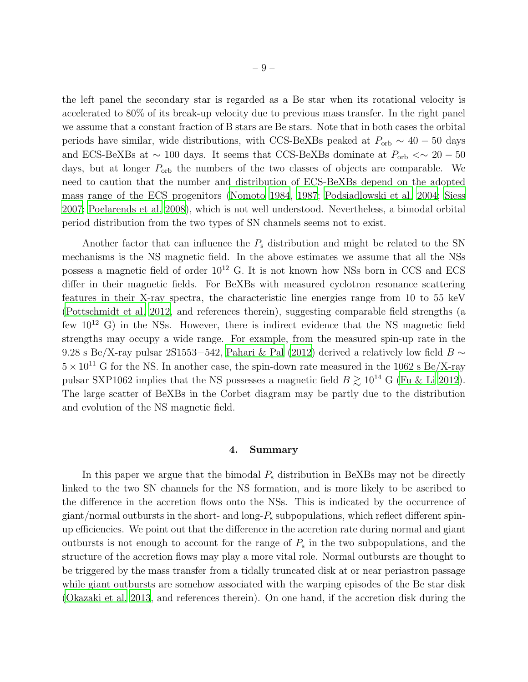the left panel the secondary star is regarded as a Be star when its rotational velocity is accelerated to 80% of its break-up velocity due to previous mass transfer. In the right panel we assume that a constant fraction of B stars are Be stars. Note that in both cases the orbital periods have similar, wide distributions, with CCS-BeXBs peaked at  $P_{\rm orb} \sim 40 - 50$  days and ECS-BeXBs at  $\sim 100$  days. It seems that CCS-BeXBs dominate at  $P_{\rm orb} < \sim 20 - 50$ days, but at longer  $P_{\text{orb}}$  the numbers of the two classes of objects are comparable. We need to caution that the number and distribution of ECS-BeXBs depend on the adopted mass range of the ECS progenitors [\(Nomoto 1984](#page-11-17), [1987](#page-11-18); [Podsiadlowski et al. 2004](#page-11-4); [Siess](#page-12-13) [2007;](#page-12-13) [Poelarends et al. 2008\)](#page-11-19), which is not well understood. Nevertheless, a bimodal orbital period distribution from the two types of SN channels seems not to exist.

Another factor that can influence the  $P<sub>s</sub>$  distribution and might be related to the SN mechanisms is the NS magnetic field. In the above estimates we assume that all the NSs possess a magnetic field of order  $10^{12}$  G. It is not known how NSs born in CCS and ECS differ in their magnetic fields. For BeXBs with measured cyclotron resonance scattering features in their X-ray spectra, the characteristic line energies range from 10 to 55 keV [\(Pottschmidt et al. 2012](#page-11-20), and references therein), suggesting comparable field strengths (a few  $10^{12}$  G) in the NSs. However, there is indirect evidence that the NS magnetic field strengths may occupy a wide range. For example, from the measured spin-up rate in the 9.28 s Be/X-ray pulsar 2S1553−542, [Pahari & Pal \(2012](#page-11-21)) derived a relatively low field  $B \sim$  $5 \times 10^{11}$  G for the NS. In another case, the spin-down rate measured in the 1062 s Be/X-ray pulsar SXP1062 implies that the NS possesses a magnetic field  $B \gtrsim 10^{14}$  G [\(Fu & Li 2012](#page-9-10)). The large scatter of BeXBs in the Corbet diagram may be partly due to the distribution and evolution of the NS magnetic field.

#### 4. Summary

In this paper we argue that the bimodal  $P_s$  distribution in BeXBs may not be directly linked to the two SN channels for the NS formation, and is more likely to be ascribed to the difference in the accretion flows onto the NSs. This is indicated by the occurrence of giant/normal outbursts in the short- and long- $P_s$  subpopulations, which reflect different spinup efficiencies. We point out that the difference in the accretion rate during normal and giant outbursts is not enough to account for the range of  $P_{\rm s}$  in the two subpopulations, and the structure of the accretion flows may play a more vital role. Normal outbursts are thought to be triggered by the mass transfer from a tidally truncated disk at or near periastron passage while giant outbursts are somehow associated with the warping episodes of the Be star disk [\(Okazaki et al. 2013,](#page-11-13) and references therein). On one hand, if the accretion disk during the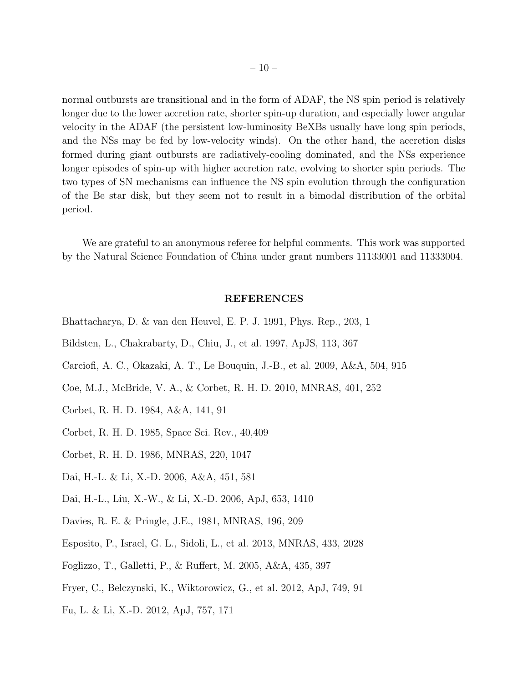normal outbursts are transitional and in the form of ADAF, the NS spin period is relatively longer due to the lower accretion rate, shorter spin-up duration, and especially lower angular velocity in the ADAF (the persistent low-luminosity BeXBs usually have long spin periods, and the NSs may be fed by low-velocity winds). On the other hand, the accretion disks formed during giant outbursts are radiatively-cooling dominated, and the NSs experience longer episodes of spin-up with higher accretion rate, evolving to shorter spin periods. The two types of SN mechanisms can influence the NS spin evolution through the configuration of the Be star disk, but they seem not to result in a bimodal distribution of the orbital period.

We are grateful to an anonymous referee for helpful comments. This work was supported by the Natural Science Foundation of China under grant numbers 11133001 and 11333004.

#### REFERENCES

- <span id="page-9-4"></span>Bhattacharya, D. & van den Heuvel, E. P. J. 1991, Phys. Rep., 203, 1
- <span id="page-9-0"></span>Bildsten, L., Chakrabarty, D., Chiu, J., et al. 1997, ApJS, 113, 367
- <span id="page-9-7"></span>Carciofi, A. C., Okazaki, A. T., Le Bouquin, J.-B., et al. 2009, A&A, 504, 915
- Coe, M.J., McBride, V. A., & Corbet, R. H. D. 2010, MNRAS, 401, 252
- <span id="page-9-1"></span>Corbet, R. H. D. 1984, A&A, 141, 91
- <span id="page-9-2"></span>Corbet, R. H. D. 1985, Space Sci. Rev., 40,409
- <span id="page-9-3"></span>Corbet, R. H. D. 1986, MNRAS, 220, 1047
- <span id="page-9-8"></span>Dai, H.-L. & Li, X.-D. 2006, A&A, 451, 581
- Dai, H.-L., Liu, X.-W., & Li, X.-D. 2006, ApJ, 653, 1410
- <span id="page-9-6"></span>Davies, R. E. & Pringle, J.E., 1981, MNRAS, 196, 209
- <span id="page-9-5"></span>Esposito, P., Israel, G. L., Sidoli, L., et al. 2013, MNRAS, 433, 2028
- Foglizzo, T., Galletti, P., & Ruffert, M. 2005, A&A, 435, 397
- <span id="page-9-9"></span>Fryer, C., Belczynski, K., Wiktorowicz, G., et al. 2012, ApJ, 749, 91
- <span id="page-9-10"></span>Fu, L. & Li, X.-D. 2012, ApJ, 757, 171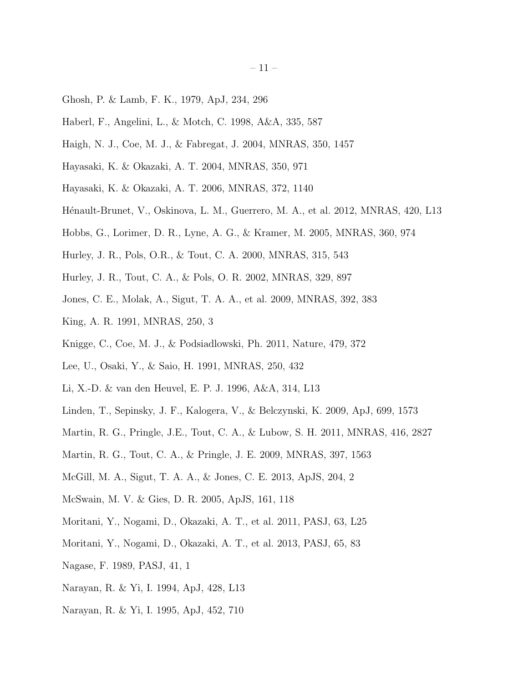- <span id="page-10-6"></span>Ghosh, P. & Lamb, F. K., 1979, ApJ, 234, 296
- <span id="page-10-4"></span>Haberl, F., Angelini, L., & Motch, C. 1998, A&A, 335, 587
- Haigh, N. J., Coe, M. J., & Fabregat, J. 2004, MNRAS, 350, 1457
- <span id="page-10-10"></span>Hayasaki, K. & Okazaki, A. T. 2004, MNRAS, 350, 971
- <span id="page-10-11"></span>Hayasaki, K. & Okazaki, A. T. 2006, MNRAS, 372, 1140
- <span id="page-10-5"></span>Hénault-Brunet, V., Oskinova, L. M., Guerrero, M. A., et al. 2012, MNRAS, 420, L13
- <span id="page-10-21"></span>Hobbs, G., Lorimer, D. R., Lyne, A. G., & Kramer, M. 2005, MNRAS, 360, 974
- <span id="page-10-19"></span>Hurley, J. R., Pols, O.R., & Tout, C. A. 2000, MNRAS, 315, 543
- <span id="page-10-20"></span>Hurley, J. R., Tout, C. A., & Pols, O. R. 2002, MNRAS, 329, 897
- <span id="page-10-8"></span>Jones, C. E., Molak, A., Sigut, T. A. A., et al. 2009, MNRAS, 392, 383
- <span id="page-10-2"></span>King, A. R. 1991, MNRAS, 250, 3
- <span id="page-10-0"></span>Knigge, C., Coe, M. J., & Podsiadlowski, Ph. 2011, Nature, 479, 372
- <span id="page-10-7"></span>Lee, U., Osaki, Y., & Saio, H. 1991, MNRAS, 250, 432
- <span id="page-10-3"></span>Li, X.-D. & van den Heuvel, E. P. J. 1996, A&A, 314, L13
- <span id="page-10-18"></span>Linden, T., Sepinsky, J. F., Kalogera, V., & Belczynski, K. 2009, ApJ, 699, 1573
- <span id="page-10-12"></span>Martin, R. G., Pringle, J.E., Tout, C. A., & Lubow, S. H. 2011, MNRAS, 416, 2827
- <span id="page-10-15"></span>Martin, R. G., Tout, C. A., & Pringle, J. E. 2009, MNRAS, 397, 1563
- <span id="page-10-9"></span>McGill, M. A., Sigut, T. A. A., & Jones, C. E. 2013, ApJS, 204, 2
- McSwain, M. V. & Gies, D. R. 2005, ApJS, 161, 118
- <span id="page-10-13"></span>Moritani, Y., Nogami, D., Okazaki, A. T., et al. 2011, PASJ, 63, L25
- <span id="page-10-14"></span>Moritani, Y., Nogami, D., Okazaki, A. T., et al. 2013, PASJ, 65, 83
- <span id="page-10-1"></span>Nagase, F. 1989, PASJ, 41, 1
- <span id="page-10-16"></span>Narayan, R. & Yi, I. 1994, ApJ, 428, L13
- <span id="page-10-17"></span>Narayan, R. & Yi, I. 1995, ApJ, 452, 710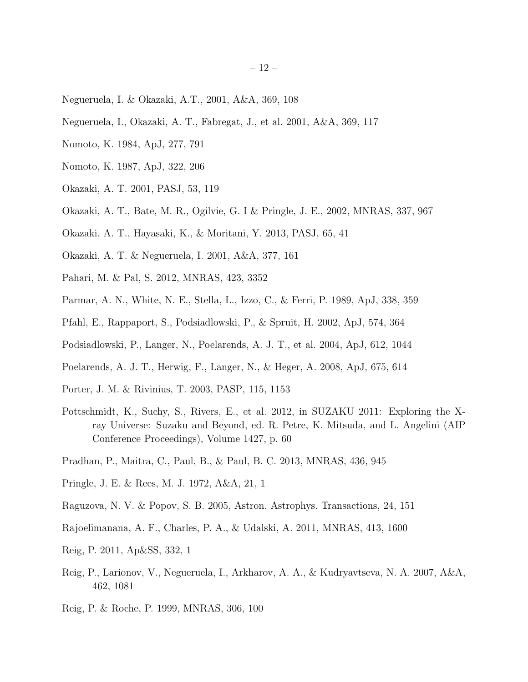- <span id="page-11-9"></span>Negueruela, I. & Okazaki, A.T., 2001, A&A, 369, 108
- <span id="page-11-12"></span>Negueruela, I., Okazaki, A. T., Fabregat, J., et al. 2001, A&A, 369, 117
- <span id="page-11-17"></span>Nomoto, K. 1984, ApJ, 277, 791
- <span id="page-11-18"></span>Nomoto, K. 1987, ApJ, 322, 206
- <span id="page-11-6"></span>Okazaki, A. T. 2001, PASJ, 53, 119
- <span id="page-11-11"></span>Okazaki, A. T., Bate, M. R., Ogilvie, G. I & Pringle, J. E., 2002, MNRAS, 337, 967
- <span id="page-11-13"></span>Okazaki, A. T., Hayasaki, K., & Moritani, Y. 2013, PASJ, 65, 41
- <span id="page-11-10"></span>Okazaki, A. T. & Negueruela, I. 2001, A&A, 377, 161
- <span id="page-11-21"></span>Pahari, M. & Pal, S. 2012, MNRAS, 423, 3352
- <span id="page-11-8"></span>Parmar, A. N., White, N. E., Stella, L., Izzo, C., & Ferri, P. 1989, ApJ, 338, 359
- <span id="page-11-1"></span>Pfahl, E., Rappaport, S., Podsiadlowski, P., & Spruit, H. 2002, ApJ, 574, 364
- <span id="page-11-4"></span>Podsiadlowski, P., Langer, N., Poelarends, A. J. T., et al. 2004, ApJ, 612, 1044
- <span id="page-11-19"></span>Poelarends, A. J. T., Herwig, F., Langer, N., & Heger, A. 2008, ApJ, 675, 614
- <span id="page-11-7"></span>Porter, J. M. & Rivinius, T. 2003, PASP, 115, 1153
- <span id="page-11-20"></span>Pottschmidt, K., Suchy, S., Rivers, E., et al. 2012, in SUZAKU 2011: Exploring the Xray Universe: Suzaku and Beyond, ed. R. Petre, K. Mitsuda, and L. Angelini (AIP Conference Proceedings), Volume 1427, p. 60
- <span id="page-11-3"></span>Pradhan, P., Maitra, C., Paul, B., & Paul, B. C. 2013, MNRAS, 436, 945
- <span id="page-11-5"></span>Pringle, J. E. & Rees, M. J. 1972, A&A, 21, 1
- <span id="page-11-15"></span>Raguzova, N. V. & Popov, S. B. 2005, Astron. Astrophys. Transactions, 24, 151
- <span id="page-11-16"></span>Rajoelimanana, A. F., Charles, P. A., & Udalski, A. 2011, MNRAS, 413, 1600
- <span id="page-11-0"></span>Reig, P. 2011, Ap&SS, 332, 1
- <span id="page-11-14"></span>Reig, P., Larionov, V., Negueruela, I., Arkharov, A. A., & Kudryavtseva, N. A. 2007, A&A, 462, 1081
- <span id="page-11-2"></span>Reig, P. & Roche, P. 1999, MNRAS, 306, 100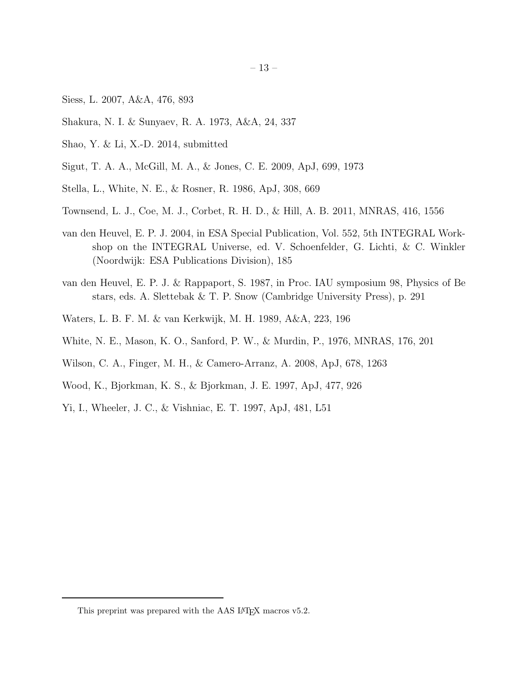- 13 –
- <span id="page-12-13"></span>Siess, L. 2007, A&A, 476, 893
- <span id="page-12-9"></span>Shakura, N. I. & Sunyaev, R. A. 1973, A&A, 24, 337
- <span id="page-12-12"></span>Shao, Y. & Li, X.-D. 2014, submitted
- <span id="page-12-6"></span>Sigut, T. A. A., McGill, M. A., & Jones, C. E. 2009, ApJ, 699, 1973
- <span id="page-12-0"></span>Stella, L., White, N. E., & Rosner, R. 1986, ApJ, 308, 669
- <span id="page-12-8"></span>Townsend, L. J., Coe, M. J., Corbet, R. H. D., & Hill, A. B. 2011, MNRAS, 416, 1556
- <span id="page-12-4"></span>van den Heuvel, E. P. J. 2004, in ESA Special Publication, Vol. 552, 5th INTEGRAL Workshop on the INTEGRAL Universe, ed. V. Schoenfelder, G. Lichti, & C. Winkler (Noordwijk: ESA Publications Division), 185
- <span id="page-12-1"></span>van den Heuvel, E. P. J. & Rappaport, S. 1987, in Proc. IAU symposium 98, Physics of Be stars, eds. A. Slettebak & T. P. Snow (Cambridge University Press), p. 291
- <span id="page-12-2"></span>Waters, L. B. F. M. & van Kerkwijk, M. H. 1989, A&A, 223, 196
- <span id="page-12-3"></span>White, N. E., Mason, K. O., Sanford, P. W., & Murdin, P., 1976, MNRAS, 176, 201
- <span id="page-12-7"></span>Wilson, C. A., Finger, M. H., & Camero-Arranz, A. 2008, ApJ, 678, 1263
- <span id="page-12-5"></span>Wood, K., Bjorkman, K. S., & Bjorkman, J. E. 1997, ApJ, 477, 926
- <span id="page-12-10"></span>Yi, I., Wheeler, J. C., & Vishniac, E. T. 1997, ApJ, 481, L51

<span id="page-12-11"></span>This preprint was prepared with the AAS IATEX macros v5.2.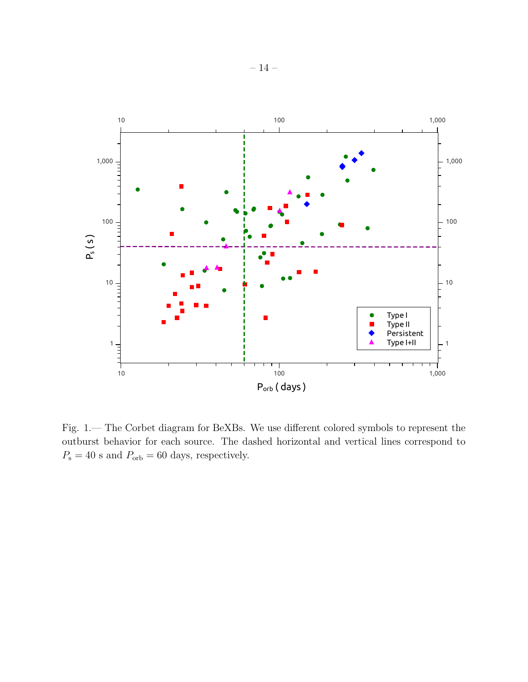

Fig. 1.— The Corbet diagram for BeXBs. We use different colored symbols to represent the outburst behavior for each source. The dashed horizontal and vertical lines correspond to  $P_{\rm s}=40$  s and  $P_{\rm orb}=60$  days, respectively.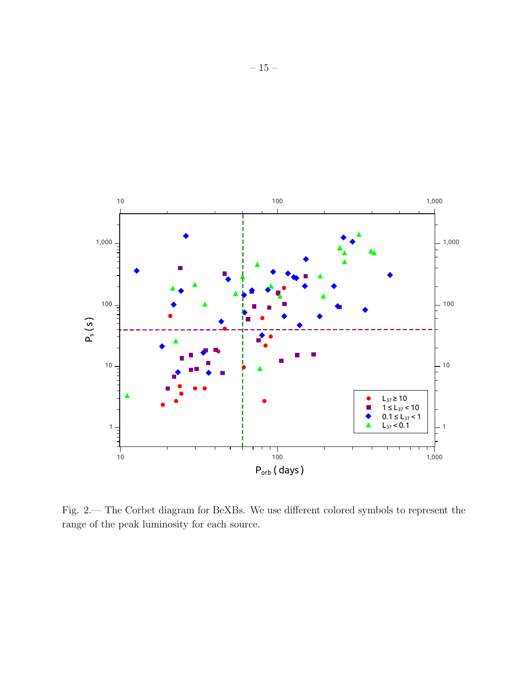

Fig. 2.— The Corbet diagram for BeXBs. We use different colored symbols to represent the range of the peak luminosity for each source.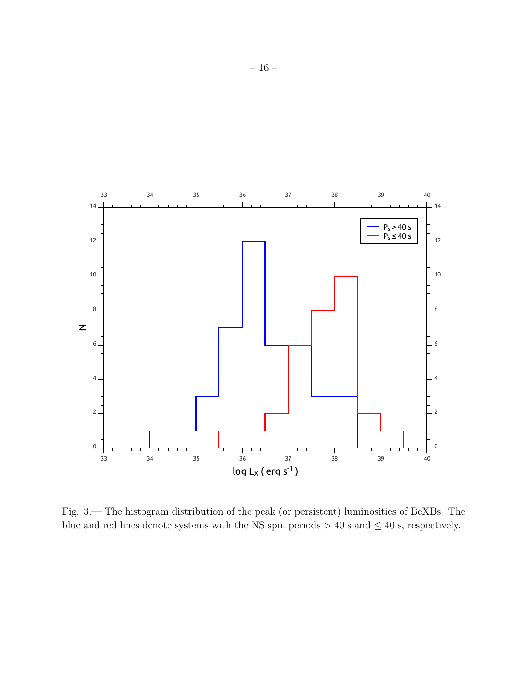

Fig. 3.— The histogram distribution of the peak (or persistent) luminosities of BeXBs. The blue and red lines denote systems with the NS spin periods  $> 40$  s and  $\leq 40$  s, respectively.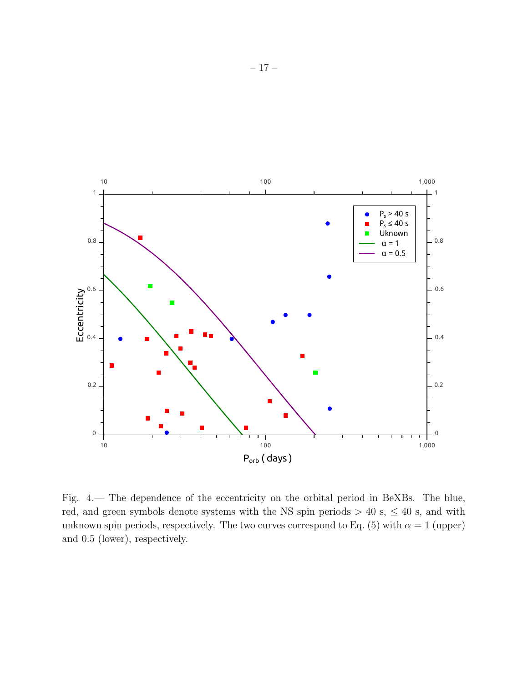

Fig. 4.— The dependence of the eccentricity on the orbital period in BeXBs. The blue, red, and green symbols denote systems with the NS spin periods  $> 40$  s,  $\leq 40$  s, and with unknown spin periods, respectively. The two curves correspond to Eq. (5) with  $\alpha = 1$  (upper) and 0.5 (lower), respectively.